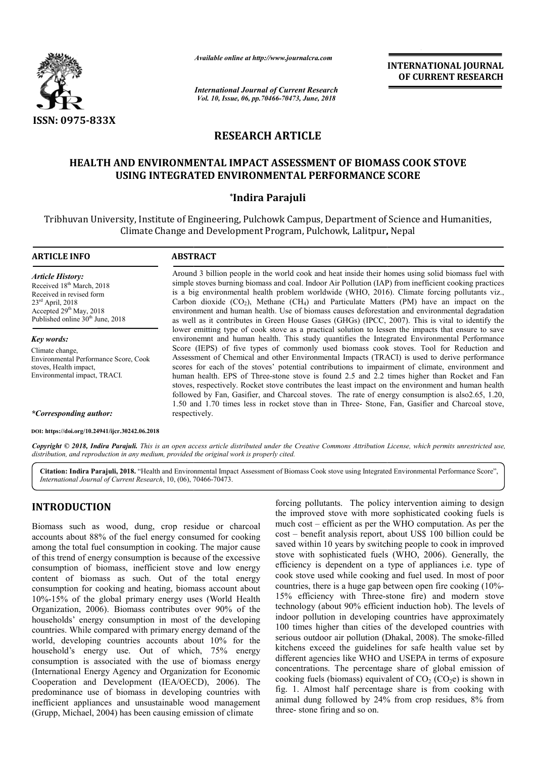

*Available online at http://www.journalcra.com*

*International Journal of Current Research Vol. 10, Issue, 06, pp.70466-70473, June, 2018*

**INTERNATIONAL JOURNAL OF CURRENT RESEARCH**

# **RESEARCH ARTICLE**

# **HEALTH AND ENVIRONMENTAL IMPACT ASSESSMENT OF BIOMASS COOK STOVE USING INTEGRATED ENVIRONMENTAL PERFORMANCE SCORE**

## **\*Indira Parajuli**

Tribhuvan University, Institute of Engineering, Pulchowk Campus, Department of Science and Humanities, sity, Institute of Engineering, Pulchowk Campus, Department of Scienc<br>Climate Change and Development Program, Pulchowk, Lalitpur, Nepal

#### **ARTICLE INFO ABSTRACT** Around 3 billion people in the world cook and heat inside their homes using solid biomass fuel with simple stoves burning biomass and coal. Indoor Air Pollution (IAP) from inefficient cooking practices simple stoves burning biomass and coal. Indoor Air Pollution (IAP) from inefficient cooking practices<br>is a big environmental health problem worldwide (WHO, 2016). Climate forcing pollutants viz., *Article History:* Received 18<sup>th</sup> March, 2018 Received in revised form

23rd April, 2018 Accepted 29<sup>th</sup> May, 2018 Published online 30<sup>th</sup> June, 2018

*Key words:* Climate change, Environmental Performance Score, Cook stoves, Health impact, Environmental impact, TRACI.

*\*Corresponding author:*

*\*Corresponding author:* **DOI: https://doi.org/10.24941/ijcr.30242.06.2018**

Carbon dioxide  $(CO_2)$ , Methane  $(CH_4)$  and Particulate Matters (PM) have an impact on the environment and human health. Use of biomass caus causes deforestation and environmental degradation as well as it contributes in Green House Gases (GHGs) (IPCC, 2007). This is vital to identify the lower emitting type of cook stove as a practical solution to lessen the impacts that ensure to save environemnt and human health. This study quantifies the Integrated Environmental Performance Score (IEPS) of five types of commonly used biomass cook stoves. Tool for Reduction and Assessment of Chemical and other Environmental Impacts (TRACI) is used to derive performance scores for each of the stoves' potential contributions to impairment of climate, environment and scores for each of the stoves' potential contributions to impairment of climate, environment and human health. EPS of Three-stone stove is found 2.5 and 2.2 times higher than Rocket and Fan stoves, respectively. Rocket stove contributes the least impact on the environment and human health followed by Fan, Gasifier, and Charcoal stoves. The rate of energy consumption is also 2.65, 1.20, followed by Fan, Gasifier, and Charcoal stoves. The rate of energy consumption is also 2.65, 1.20, 1.50 and 1.70 times less in rocket stove than in Three-Stone, Fan, Gasifier and Charcoal stove, respectively as well as it contributes in Green House Gases (GHGs) (IPCC, 2007). This is vital to identify the lower emitting type of cook stove as a practical solution to lessen the impacts that ensure to save environemnt and human he

Copyright © 2018, Indira Parajuli. This is an open access article distributed under the Creative Commons Attribution License, which permits unrestricted use, *distribution, and reproduction in any medium, provided the original work is properly cited.*

Citation: Indira Parajuli, 2018. "Health and Environmental Impact Assessment of Biomass Cook stove using Integrated Environmental Performance Score", **Citation: Indira Parajuli, 2018.** "Health and Environmental Impa<br>International Journal of Current Research, 10, (06), 70466-70473.

# **INTRODUCTION**

Biomass such as wood, dung, crop residue or charcoal accounts about 88% of the fuel energy consumed for cooking among the total fuel consumption in cooking. The major cause of this trend of energy consumption is because of the excessive consumption of biomass, inefficient stove and low energy content of biomass as such. Out of the total energy consumption for cooking and heating, biomas biomass account about 10%-15% of the global primary energy uses (World Health Organization, 2006). Biomass contributes over 90% of the households' energy consumption in most of the developing countries. While compared with primary energy demand of the world, developing countries accounts about  $10\%$  for the household's energy use. Out of which, 75% energy consumption is associated with the use of biomass energy (International Energy Agency and Organization for Economic Cooperation and Development (IEA/OECD), 2006). The predominance use of biomass in developing countries with inefficient appliances and unsustainable wood management (Grupp, Michael, 2004) has been causing emission of climate

**INTRODUCTION**<br>
forcing pollutants. The policy intervention aiming to design<br>
tiomass such as wood, dung, crop residue or charcoal<br>
much cost – benefit and spre the WHO computation. As per the<br>
accounts about 88% of the fi the improved stove with more sophisticated cooking fuels is much cost – efficient as per the WHO computation. As per the cost – benefit analysis report, about US\$ 100 billion could be saved within 10 years by switching people to cook in improved stove with sophisticated fuels (WHO, 2006). Generally, the efficiency is dependent on a type of appliances i.e. type of cook stove used while cooking and fuel used. In most of poor cook stove used while cooking and fuel used. In most of poor countries, there is a huge gap between open fire cooking (10%-15% efficiency with Three-stone stone fire) and modern stove technology (about 90% efficient induction hob). The levels of indoor pollution in developing countries have approximately 100 times higher than cities of the developed countries with serious outdoor air pollution (Dhakal, 2008). The smoke-filled kitchens exceed the guidelines for safe health value set by different agencies like WHO and USEPA in terms of exposure concentrations. The percentage share of global emission of cooking fuels (biomass) equivalent of  $CO$ ,  $(CO<sub>2</sub>e)$  is shown in fig. 1. Almost half percentage share is from cooking with animal dung followed by 24% from crop residues, 8% from three- stone firing and so on. ants. The policy intervention aiming to design<br>stove with more sophisticated cooking fuels is<br>fficient as per the WHO computation. As per the<br>analysis report, about US\$ 100 billion could be<br>0 years by switching people to c ogy (about 90% efficient induction hob). The levels of pollution in developing countries have approximately hes higher than cities of the developed countries with outdoor air pollution (Dhakal, 2008). The smoke-filled exceed the guidelines for safe health value set by agencies like WHO and USEPA in terms of exposure tions. The percentage share of global emission of iuels (biomass) equivalent of  $CO_2$  ( $CO_2$ e) is shown in **NATIONAL JOURNAL**<br>
CURRENT RESEARCH<br>
CURRENT RESEARCH<br>
CURRENT RESEARCH<br>
E e and Humanities,<br>
tate forcing pollutiants viz.<br>
therefficient cooking practices<br>
therefore pollutions were an impact on the<br>
environmental degr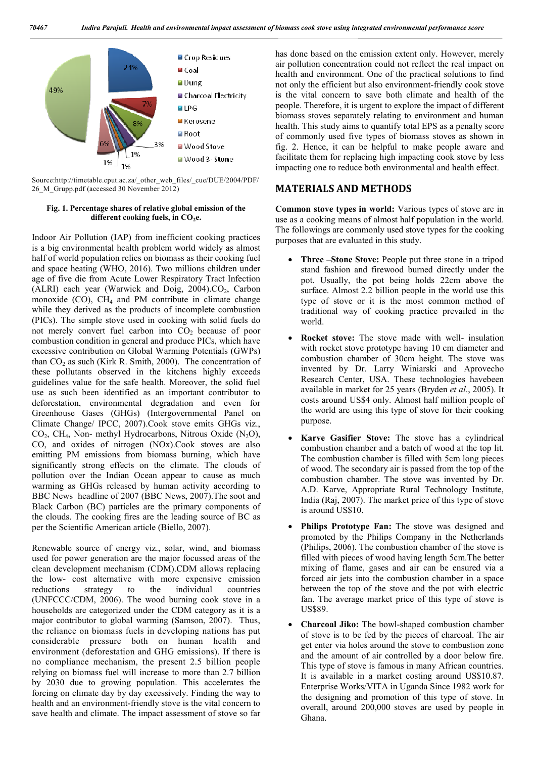

Source:http://timetable.cput.ac.za/\_other\_web\_files/\_cue/DUE/2004/PDF/ 26\_M\_Grupp.pdf (accessed 30 November 2012)

### **Fig. 1. Percentage shares of relative global emission of the**  different cooking fuels, in CO<sub>2</sub>e.

Indoor Air Pollution (IAP) from inefficient cooking practices is a big environmental health problem world widely as almost half of world population relies on biomass as their cooking fuel and space heating (WHO, 2016). Two millions children under age of five die from Acute Lower Respiratory Tract Infection (ALRI) each year (Warwick and Doig,  $2004$ ). $CO<sub>2</sub>$ , Carbon monoxide  $(CO)$ ,  $CH<sub>4</sub>$  and PM contribute in climate change while they derived as the products of incomplete combustion (PICs). The simple stove used in cooking with solid fuels do not merely convert fuel carbon into CO<sub>2</sub> because of poor combustion condition in general and produce PICs, which have excessive contribution on Global Warming Potentials (GWPs) than  $CO<sub>2</sub>$  as such (Kirk R. Smith, 2000). The concentration of these pollutants observed in the kitchens highly exceeds guidelines value for the safe health. Moreover, the solid fuel use as such been identified as an important contributor to deforestation, environmental degradation and even for Greenhouse Gases (GHGs) (Intergovernmental Panel on Climate Change/ IPCC, 2007).Cook stove emits GHGs viz.,  $CO<sub>2</sub>$ , CH<sub>4</sub>, Non- methyl Hydrocarbons, Nitrous Oxide (N<sub>2</sub>O), CO, and oxides of nitrogen (NOx).Cook stoves are also emitting PM emissions from biomass burning, which have significantly strong effects on the climate. The clouds of pollution over the Indian Ocean appear to cause as much warming as GHGs released by human activity according to BBC News headline of 2007 (BBC News, 2007).The soot and Black Carbon (BC) particles are the primary components of the clouds. The cooking fires are the leading source of BC as per the Scientific American article (Biello, 2007).

Renewable source of energy viz., solar, wind, and biomass used for power generation are the major focussed areas of the clean development mechanism (CDM).CDM allows replacing the low- cost alternative with more expensive emission reductions strategy to the individual countries (UNFCCC/CDM, 2006). The wood burning cook stove in a households are categorized under the CDM category as it is a major contributor to global warming (Samson, 2007). Thus, the reliance on biomass fuels in developing nations has put considerable pressure both on human health and environment (deforestation and GHG emissions). If there is no compliance mechanism, the present 2.5 billion people relying on biomass fuel will increase to more than 2.7 billion by 2030 due to growing population. This accelerates the forcing on climate day by day excessively. Finding the way to health and an environment-friendly stove is the vital concern to save health and climate. The impact assessment of stove so far

has done based on the emission extent only. However, merely air pollution concentration could not reflect the real impact on health and environment. One of the practical solutions to find not only the efficient but also environment-friendly cook stove is the vital concern to save both climate and health of the people. Therefore, it is urgent to explore the impact of different biomass stoves separately relating to environment and human health. This study aims to quantify total EPS as a penalty score of commonly used five types of biomass stoves as shown in fig. 2. Hence, it can be helpful to make people aware and facilitate them for replacing high impacting cook stove by less impacting one to reduce both environmental and health effect.

## **MATERIALS AND METHODS**

**Common stove types in world:** Various types of stove are in use as a cooking means of almost half population in the world. The followings are commonly used stove types for the cooking purposes that are evaluated in this study.

- **Three –Stone Stove:** People put three stone in a tripod stand fashion and firewood burned directly under the pot. Usually, the pot being holds 22cm above the surface. Almost 2.2 billion people in the world use this type of stove or it is the most common method of traditional way of cooking practice prevailed in the world.
- **Rocket stove:** The stove made with well- insulation with rocket stove prototype having 10 cm diameter and combustion chamber of 30cm height. The stove was invented by Dr. Larry Winiarski and Aprovecho Research Center, USA. These technologies havebeen available in market for 25 years (Bryden *et al*., 2005). It costs around US\$4 only. Almost half million people of the world are using this type of stove for their cooking purpose.
- **Karve Gasifier Stove:** The stove has a cylindrical combustion chamber and a batch of wood at the top lit. The combustion chamber is filled with 5cm long pieces of wood. The secondary air is passed from the top of the combustion chamber. The stove was invented by Dr. A.D. Karve, Appropriate Rural Technology Institute, India (Raj, 2007). The market price of this type of stove is around US\$10.
- **Philips Prototype Fan:** The stove was designed and promoted by the Philips Company in the Netherlands (Philips, 2006). The combustion chamber of the stove is filled with pieces of wood having length 5cm.The better mixing of flame, gases and air can be ensured via a forced air jets into the combustion chamber in a space between the top of the stove and the pot with electric fan. The average market price of this type of stove is US\$89.
- **Charcoal Jiko:** The bowl-shaped combustion chamber of stove is to be fed by the pieces of charcoal. The air get enter via holes around the stove to combustion zone and the amount of air controlled by a door below fire. This type of stove is famous in many African countries. It is available in a market costing around US\$10.87. Enterprise Works/VITA in Uganda Since 1982 work for the designing and promotion of this type of stove. In overall, around 200,000 stoves are used by people in Ghana.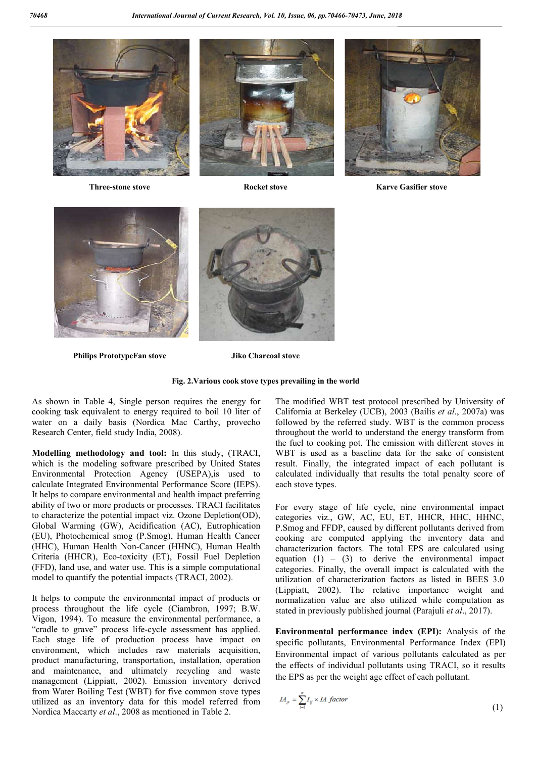

**Three-stone stove**





**Rocket stove Karve Gasifier stove**



**Philips PrototypeFan stove**

**Jiko Charcoal stove**

#### **Fig. 2.Various Various cook stove types prevailing in the world**

As shown in Table 4, Single person requires the energy for cooking task equivalent to energy required to boil 10 liter of water on a daily basis (Nordica Mac Carthy, provecho Research Center, field study India, 2008).

**Modelling methodology and tool:** In this study, (TRACI, which is the modeling software prescribed by United States Environmental Protection Agency (USEPA),is used to calculate Integrated Environmental Performance Score (IEPS). It helps to compare environmental and health impact preferring ability of two or more products or processes. TRACI facilitates to characterize the potential impact viz. Ozone Depletion(OD), Global Warming (GW), Acidification (AC), Eutrophication (EU), Photochemical smog (P.Smog), Human Health Cancer (HHC), Human Health Non-Cancer (HHNC), Human Health Criteria (HHCR), Eco-toxicity (ET), Fossil Fuel Depletion (FFD), land use, and water use. This is a simple computational model to quantify the potential impacts (TRACI, 2002). Cancer (HHNC), Human Health<br>ity (ET), Fossil Fuel Depletion<br>ee. This is a simple computational<br>il impacts (TRACI, 2002).<br>ronmental impact of products or<br>cycle (Ciambron, 1997; B.W.

It helps to compute the environmental impact of products or process throughout the life cycle (Ciambron, 1997; B.W. Vigon, 1994). To measure the environmental performance, a "cradle to grave" process life-cycle assessment has applied. Each stage life of production process have impact on environment, which includes raw materials acquisition, product manufacturing, transportation, installation, operation and maintenance, and ultimately recycling and waste management (Lippiatt, 2002). Emission inventory derived from Water Boiling Test (WBT) for five common stove types utilized as an inventory data for this model referr Nordica Maccarty *et al*., 2008 as mentioned in Table 2. s life-cycle assessment has applied.<br>
oduction process have impact on<br>
cludes raw materials acquisition,<br>
ransportation, installation, operation<br>
ultimately recycling and waste<br>
2002). Emission inventory derived<br>
(WBT) for The modified WBT test protocol prescribed by University of The modified WBT test protocol prescribed by University of California at Berkeley (UCB), 2003 (Bailis *et al.*, 2007a) was followed by the referred study. WBT is the common process throughout the world to understand the energy transform from the fuel to cooking pot. The emission with different stoves in WBT is used as a baseline data for the sake of consistent result. Finally, the integrated impact of each pollutant is calculated individually that results the total penalty score of each stove types. e referred study. WBT is the common process<br>world to understand the energy transform from<br>king pot. The emission with different stoves in<br>as a baseline data for the sake of consistent

For every stage of life cycle, nine environmental impact categories viz., GW, AC, EU, ET, HHCR, HHC, HHNC, P.Smog and FFDP, caused by different pollutants derived from cooking are computed applying the inventory data and characterization factors. The total EPS are calculated using equation  $(1)$  –  $(3)$  to derive the environmental impact equation  $(1) - (3)$  to derive the environmental impact categories. Finally, the overall impact is calculated with the utilization of characterization factors as listed in BEES 3.0 utilization of characterization factors as listed in BEES 3.0 (Lippiatt, 2002). The relative importance weight and normalization value are also utilized while computation as stated in previously published journal (Parajuli *et al*., 2017). result. Finally, the integrated impact of each pollutant calculated individually that results the total penalty score each stove types.<br>For every stage of life cycle, nine environmental impactegories viz., GW, AC, EU, ET,

**Environmental performance index (EPI):** Analysis of the specific pollutants, Environmental Performance Index (EPI) Environmental impact of various pollutants calculated as per specific pollutants, Environmental Performance Index (EPI)<br>Environmental impact of various pollutants calculated as per<br>the effects of individual pollutants using TRACI, so it results the EPS as per the weight age effect of each pollutant.

$$
L_A = \sum_{i=1}^{n} I_{ij} \times L_A factor \tag{1}
$$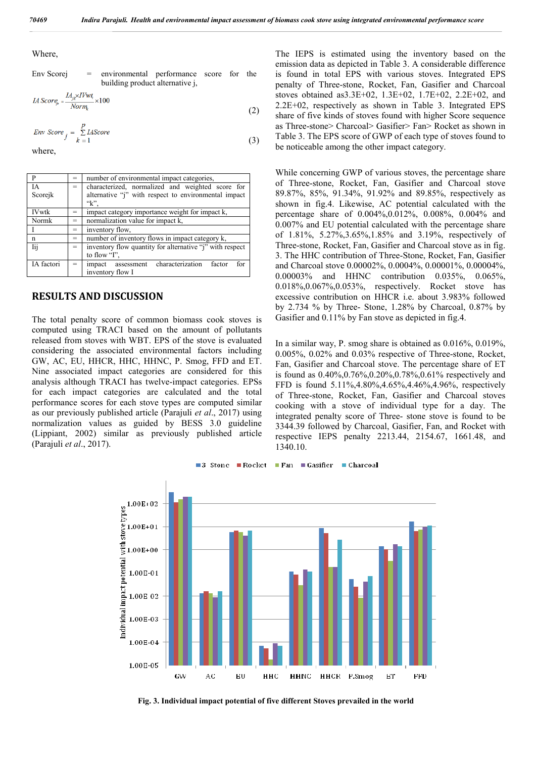Where,

$$
Env Scorej = environmental performance score for the building product alternative j,
$$

$$
IA \, Score_{jk} = \frac{IA_{jk} \times IVwt}{Norm_k} \times 100 \tag{2}
$$

$$
Env\ Score \ \frac{p}{j} = \sum_{k=1}^{p} IAScore
$$
 (3)

where,

|              |     | number of environmental impact categories,               |  |  |  |  |  |  |  |
|--------------|-----|----------------------------------------------------------|--|--|--|--|--|--|--|
| ĪΑ           | $=$ | characterized, normalized and weighted score for         |  |  |  |  |  |  |  |
| Scorejk      |     | alternative "i" with respect to environmental impact     |  |  |  |  |  |  |  |
|              |     | $K$ .                                                    |  |  |  |  |  |  |  |
| <b>IVwtk</b> |     | impact category importance weight for impact k,          |  |  |  |  |  |  |  |
| Normk        | =   | normalization value for impact k,                        |  |  |  |  |  |  |  |
|              |     | inventory flow.                                          |  |  |  |  |  |  |  |
| n            | =   | number of inventory flows in impact category k,          |  |  |  |  |  |  |  |
| Iii          | $=$ | inventory flow quantity for alternative "i" with respect |  |  |  |  |  |  |  |
|              |     | to flow "I".                                             |  |  |  |  |  |  |  |
| IA factori   |     | characterization<br>factor<br>for<br>impact assessment   |  |  |  |  |  |  |  |
|              |     | inventory flow I                                         |  |  |  |  |  |  |  |

### **RESULTS AND DISCUSSION**

The total penalty score of common biomass cook stoves is computed using TRACI based on the amount of pollutants released from stoves with WBT. EPS of the stove is evaluated considering the associated environmental factors including GW, AC, EU, HHCR, HHC, HHNC, P. Smog, FFD and ET. Nine associated impact categories are considered for this analysis although TRACI has twelve-impact categories. EPSs for each impact categories are calculated and the total performance scores for each stove types are computed similar as our previously published article (Parajuli *et al*., 2017) using normalization values as guided by BESS 3.0 guideline (Lippiant, 2002) similar as previously published article (Parajuli *et al*., 2017).

The IEPS is estimated using the inventory based on the emission data as depicted in Table 3. A considerable difference is found in total EPS with various stoves. Integrated EPS penalty of Three-stone, Rocket, Fan, Gasifier and Charcoal stoves obtained as3.3E+02, 1.3E+02, 1.7E+02, 2.2E+02, and 2.2E+02, respectively as shown in Table 3. Integrated EPS share of five kinds of stoves found with higher Score sequence as Three-stone> Charcoal> Gasifier> Fan> Rocket as shown in Table 3. The EPS score of GWP of each type of stoves found to be noticeable among the other impact category.

While concerning GWP of various stoves, the percentage share of Three-stone, Rocket, Fan, Gasifier and Charcoal stove 89.87%, 85%, 91.34%, 91.92% and 89.85%, respectively as shown in fig.4. Likewise, AC potential calculated with the percentage share of 0.004%,0.012%, 0.008%, 0.004% and 0.007% and EU potential calculated with the percentage share of 1.81%, 5.27%,3.65%,1.85% and 3.19%, respectively of Three-stone, Rocket, Fan, Gasifier and Charcoal stove as in fig. 3. The HHC contribution of Three-Stone, Rocket, Fan, Gasifier and Charcoal stove 0.00002%, 0.0004%, 0.00001%, 0.00004%, 0.00003% and HHNC contribution 0.035%, 0.065%, 0.018%,0.067%,0.053%, respectively. Rocket stove has excessive contribution on HHCR i.e. about 3.983% followed by 2.734 % by Three- Stone, 1.28% by Charcoal, 0.87% by Gasifier and 0.11% by Fan stove as depicted in fig.4.

In a similar way, P. smog share is obtained as 0.016%, 0.019%, 0.005%, 0.02% and 0.03% respective of Three-stone, Rocket, Fan, Gasifier and Charcoal stove. The percentage share of ET is found as 0.40%,0.76%,0.20%,0.78%,0.61% respectively and FFD is found 5.11%,4.80%,4.65%,4.46%,4.96%, respectively of Three-stone, Rocket, Fan, Gasifier and Charcoal stoves cooking with a stove of individual type for a day. The integrated penalty score of Three- stone stove is found to be 3344.39 followed by Charcoal, Gasifier, Fan, and Rocket with respective IEPS penalty 2213.44, 2154.67, 1661.48, and 1340.10.



**Fig. 3. Individual impact potential of five different Stoves prevailed in the world**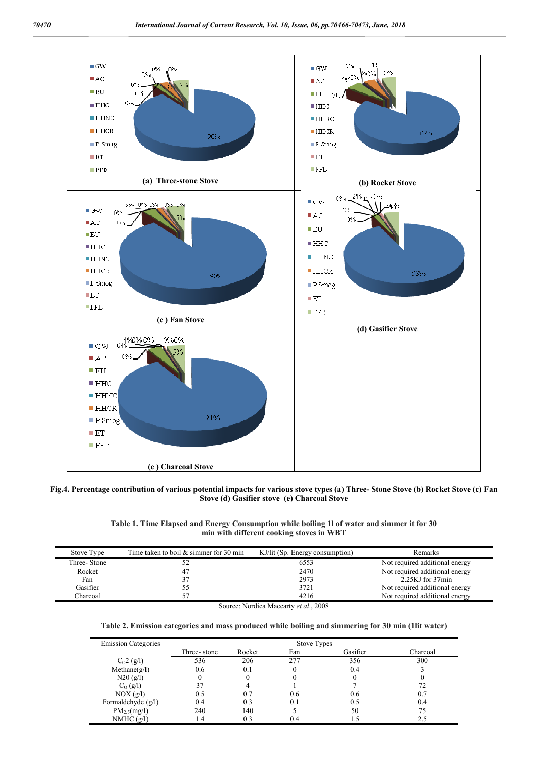

### **Fig.4. Percentage contribution of various potential impacts for various stove types (a) Three- Stone Stove (b) Rocket Stove (c) Fan Stove (d) Gasifier stove (e) Charcoal Stove**

| Table 1. Time Elapsed and Energy Consumption while boiling 11 of water and simmer it for 30 |
|---------------------------------------------------------------------------------------------|
| min with different cooking stoves in WBT                                                    |

| Stove Type  | Time taken to boil $&$ simmer for 30 min | KJ/lit (Sp. Energy consumption) | Remarks                        |
|-------------|------------------------------------------|---------------------------------|--------------------------------|
| Three-Stone | ے ر                                      | 6553                            | Not required additional energy |
| Rocket      | 47                                       | 2470                            | Not required additional energy |
| Fan         |                                          | 2973                            | 2.25KJ for 37min               |
| Gasifier    |                                          | 3721                            | Not required additional energy |
| Charcoal    |                                          | 4216                            | Not required additional energy |

Source: Nordica Maccarty *et al*., 2008

### **Table 2. Emission categories and mass produced while boiling and simmering for 30 min (1lit water)**

| <b>Emission Categories</b> |             |        | <b>Stove Types</b> |          |          |
|----------------------------|-------------|--------|--------------------|----------|----------|
|                            | Three-stone | Rocket | Fan                | Gasifier | Charcoal |
| $C02$ (g/l)                | 536         | 206    | 277                | 356      | 300      |
| Method(e/l)                | 0.6         | 0.1    |                    | 0.4      |          |
| N20(g/l)                   |             |        |                    |          |          |
| $C_0$ (g/l)                | 37          |        |                    |          | 72       |
| $NOX$ (g/l)                | 0.5         | 0.7    | 0.6                | 0.6      | 0.7      |
| Formaldehyde $(g/l)$       | 0.4         | 0.3    | 0.1                | 0.5      | 0.4      |
| $PM_{2.5}(mg/l)$           | 240         | 140    |                    | 50       | 75       |
| NMHC $(g/l)$               | 1.4         | 0.3    | 0.4                |          | 2.5      |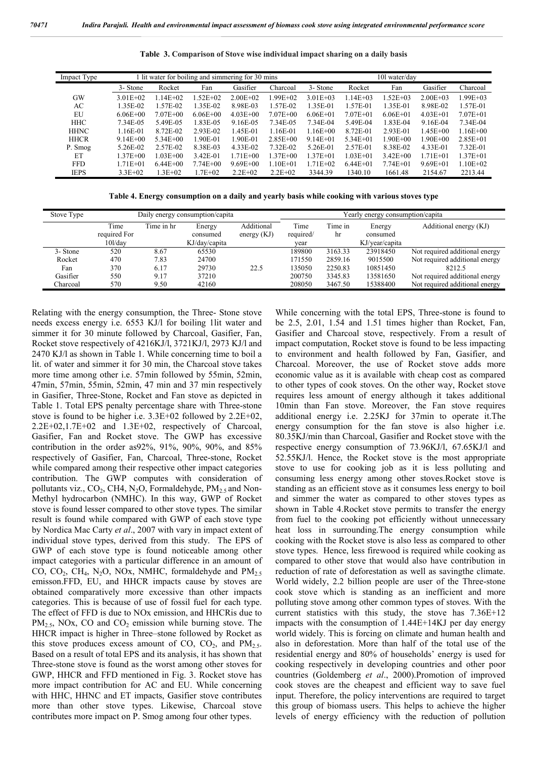|  |  | Table 3. Comparison of Stove wise individual impact sharing on a daily basis |  |  |  |  |  |  |  |  |
|--|--|------------------------------------------------------------------------------|--|--|--|--|--|--|--|--|
|--|--|------------------------------------------------------------------------------|--|--|--|--|--|--|--|--|

| Impact Type | 1 lit water for boiling and simmering for 30 mins |              |              |              |              |              | 101 water/day |              |              |              |  |
|-------------|---------------------------------------------------|--------------|--------------|--------------|--------------|--------------|---------------|--------------|--------------|--------------|--|
|             | 3- Stone                                          | Rocket       | Fan          | Gasifier     | Charcoal     | 3- Stone     | Rocket        | Fan          | Gasifier     | Charcoal     |  |
| GW          | $3.01E + 02$                                      | $1.14E + 02$ | $1.52E + 02$ | $2.00E + 02$ | 1.99E+02     | $3.01E + 03$ | $1.14E + 03$  | $1.52E + 03$ | $2.00E + 03$ | $.99E + 03$  |  |
| AC          | 1.35E-02                                          | 1.57E-02     | 1.35E-02     | 8.98E-03     | 1.57E-02     | 1.35E-01     | 1.57E-01      | 1.35E-01     | 8.98E-02     | 1.57E-01     |  |
| EU          | $6.06E + 00$                                      | $7.07E + 00$ | $6.06E + 00$ | $4.03E + 00$ | $7.07E + 00$ | $6.06E + 01$ | $7.07E + 01$  | $6.06E + 01$ | $4.03E + 01$ | $7.07E + 01$ |  |
| <b>HHC</b>  | 7.34E-05                                          | 5.49E-05     | 1.83E-05     | 9.16E-05     | 7.34E-05     | 7.34E-04     | 5.49E-04      | 1.83E-04     | 9.16E-04     | 7.34E-04     |  |
| <b>HHNC</b> | 1.16E-01                                          | 8.72E-02     | 2.93E-02     | .45E-01      | 1.16E-01     | $1.16E + 00$ | 8.72E-01      | 2.93E-01     | 1.45E+00     | $1.16E + 00$ |  |
| <b>HHCR</b> | $9.14E + 00$                                      | $5.34E + 00$ | 1.90E-01     | 1.90E-01     | $2.85E + 00$ | $9.14E + 01$ | $5.34E + 01$  | 1.90E+00     | 1.90E+00     | $2.85E + 01$ |  |
| P. Smog     | 5.26E-02                                          | 2.57E-02     | 8.38E-03     | 4.33E-02     | 7.32E-02     | 5.26E-01     | 2.57E-01      | 8.38E-02     | 4.33E-01     | 7.32E-01     |  |
| ET          | $1.37E + 00$                                      | $.03E + 00$  | 3.42E-01     | 1.71E+00     | 1.37E+00     | $1.37E + 01$ | $1.03E + 01$  | $3.42E + 00$ | 1.71E+01     | $1.37E + 01$ |  |
| <b>FFD</b>  | $1.71E + 01$                                      | $6.44E + 00$ | $7.74E + 00$ | $9.69E + 00$ | 1.10E+01     | 1.71E+02     | $6.44E + 01$  | $7.74E + 01$ | $9.69E + 01$ | $1.10E + 02$ |  |
| <b>IEPS</b> | $3.3E+02$                                         | $1.3E + 02$  | $1.7E + 02$  | $2.2E+02$    | $2.2E+02$    | 3344.39      | 1340.10       | 1661.48      | 2154.67      | 2213.44      |  |
|             |                                                   |              |              |              |              |              |               |              |              |              |  |

**Table 4. Energy consumption on a daily and yearly basis while cooking with various stoves type**

| Stove Type |                                    |            | Daily energy consumption/capita     |                             | Yearly energy consumption/capita |               |                                      |                                |
|------------|------------------------------------|------------|-------------------------------------|-----------------------------|----------------------------------|---------------|--------------------------------------|--------------------------------|
|            | Time<br>required For<br>$10$ l/dav | Time in hr | Energy<br>consumed<br>KJ/day/capita | Additional<br>energy $(KJ)$ | Time<br>required/<br>year        | Time in<br>hr | Energy<br>consumed<br>KJ/year/capita | Additional energy (KJ)         |
| 3- Stone   | 520                                | 8.67       | 65530                               |                             | 189800                           | 3163.33       | 23918450                             | Not required additional energy |
| Rocket     | 470                                | 7.83       | 24700                               |                             | 171550                           | 2859.16       | 9015500                              | Not required additional energy |
| Fan        | 370                                | 6.17       | 29730                               | 22.5                        | 135050                           | 2250.83       | 10851450                             | 8212.5                         |
| Gasifier   | 550                                | 9.17       | 37210                               |                             | 200750                           | 3345.83       | 13581650                             | Not required additional energy |
| Charcoal   | 570                                | 9.50       | 42160                               |                             | 208050                           | 3467.50       | 15388400                             | Not required additional energy |

Relating with the energy consumption, the Three- Stone stove needs excess energy i.e. 6553 KJ/l for boiling 1lit water and simmer it for 30 minute followed by Charcoal, Gasifier, Fan, Rocket stove respectively of 4216KJ/l, 3721KJ/l, 2973 KJ/l and 2470 KJ/l as shown in Table 1. While concerning time to boil a lit. of water and simmer it for 30 min, the Charcoal stove takes more time among other i.e. 57min followed by 55min, 52min, 47min, 57min, 55min, 52min, 47 min and 37 min respectively in Gasifier, Three-Stone, Rocket and Fan stove as depicted in Table 1. Total EPS penalty percentage share with Three-stone stove is found to be higher i.e. 3.3E+02 followed by 2.2E+02, 2.2E+02,1.7E+02 and 1.3E+02, respectively of Charcoal, Gasifier, Fan and Rocket stove. The GWP has excessive contribution in the order as92%, 91%, 90%, 90%, and 85% respectively of Gasifier, Fan, Charcoal, Three-stone, Rocket while compared among their respective other impact categories contribution. The GWP computes with consideration of pollutants viz.,  $CO_2$ , CH4, N<sub>2</sub>O, Formaldehyde, PM<sub>2.5</sub> and Non-Methyl hydrocarbon (NMHC). In this way, GWP of Rocket stove is found lesser compared to other stove types. The similar result is found while compared with GWP of each stove type by Nordica Mac Carty *et al*., 2007 with vary in impact extent of individual stove types, derived from this study. The EPS of GWP of each stove type is found noticeable among other impact categories with a particular difference in an amount of CO, CO<sub>2</sub>, CH<sub>4</sub>, N<sub>2</sub>O, NO<sub>x</sub>, NMHC, formaldehyde and  $PM_{2.5}$ emisson.FFD, EU, and HHCR impacts cause by stoves are obtained comparatively more excessive than other impacts categories. This is because of use of fossil fuel for each type. The effect of FFD is due to NOx emission, and HHCRis due to  $PM_{2.5}$ , NOx, CO and CO<sub>2</sub> emission while burning stove. The HHCR impact is higher in Three–stone followed by Rocket as this stove produces excess amount of CO,  $CO<sub>2</sub>$ , and  $PM<sub>2.5</sub>$ . Based on a result of total EPS and its analysis, it has shown that Three-stone stove is found as the worst among other stoves for GWP, HHCR and FFD mentioned in Fig. 3. Rocket stove has more impact contribution for AC and EU. While concerning with HHC, HHNC and ET impacts, Gasifier stove contributes more than other stove types. Likewise, Charcoal stove contributes more impact on P. Smog among four other types.

While concerning with the total EPS, Three-stone is found to be 2.5, 2.01, 1.54 and 1.51 times higher than Rocket, Fan, Gasifier and Charcoal stove, respectively. From a result of impact computation, Rocket stove is found to be less impacting to environment and health followed by Fan, Gasifier, and Charcoal. Moreover, the use of Rocket stove adds more economic value as it is available with cheap cost as compared to other types of cook stoves. On the other way, Rocket stove requires less amount of energy although it takes additional 10min than Fan stove. Moreover, the Fan stove requires additional energy i.e. 2.25KJ for 37min to operate it.The energy consumption for the fan stove is also higher i.e. 80.35KJ/min than Charcoal, Gasifier and Rocket stove with the respective energy consumption of 73.96KJ/l, 67.65KJ/l and 52.55KJ/l. Hence, the Rocket stove is the most appropriate stove to use for cooking job as it is less polluting and consuming less energy among other stoves.Rocket stove is standing as an efficient stove as it consumes less energy to boil and simmer the water as compared to other stoves types as shown in Table 4.Rocket stove permits to transfer the energy from fuel to the cooking pot efficiently without unnecessary heat loss in surrounding.The energy consumption while cooking with the Rocket stove is also less as compared to other stove types. Hence, less firewood is required while cooking as compared to other stove that would also have contribution in reduction of rate of deforestation as well as savingthe climate. World widely, 2.2 billion people are user of the Three-stone cook stove which is standing as an inefficient and more polluting stove among other common types of stoves. With the current statistics with this study, the stove has 7.36E+12 impacts with the consumption of 1.44E+14KJ per day energy world widely. This is forcing on climate and human health and also in deforestation. More than half of the total use of the residential energy and 80% of households' energy is used for cooking respectively in developing countries and other poor countries (Goldemberg *et al*., 2000).Promotion of improved cook stoves are the cheapest and efficient way to save fuel input. Therefore, the policy interventions are required to target this group of biomass users. This helps to achieve the higher levels of energy efficiency with the reduction of pollution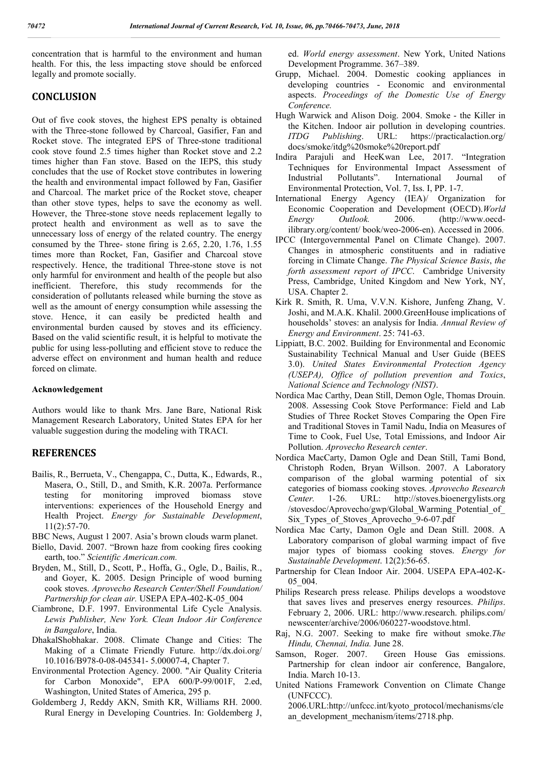concentration that is harmful to the environment and human health. For this, the less impacting stove should be enforced legally and promote socially.

## **CONCLUSION**

Out of five cook stoves, the highest EPS penalty is obtained with the Three-stone followed by Charcoal, Gasifier, Fan and Rocket stove. The integrated EPS of Three-stone traditional cook stove found 2.5 times higher than Rocket stove and 2.2 times higher than Fan stove. Based on the IEPS, this study concludes that the use of Rocket stove contributes in lowering the health and environmental impact followed by Fan, Gasifier and Charcoal. The market price of the Rocket stove, cheaper than other stove types, helps to save the economy as well. However, the Three-stone stove needs replacement legally to protect health and environment as well as to save the unnecessary loss of energy of the related country. The energy consumed by the Three- stone firing is 2.65, 2.20, 1.76, 1.55 times more than Rocket, Fan, Gasifier and Charcoal stove respectively. Hence, the traditional Three-stone stove is not only harmful for environment and health of the people but also inefficient. Therefore, this study recommends for the consideration of pollutants released while burning the stove as well as the amount of energy consumption while assessing the stove. Hence, it can easily be predicted health and environmental burden caused by stoves and its efficiency. Based on the valid scientific result, it is helpful to motivate the public for using less-polluting and efficient stove to reduce the adverse effect on environment and human health and reduce forced on climate.

### **Acknowledgement**

Authors would like to thank Mrs. Jane Bare, National Risk Management Research Laboratory, United States EPA for her valuable suggestion during the modeling with TRACI.

# **REFERENCES**

- Bailis, R., Berrueta, V., Chengappa, C., Dutta, K., Edwards, R., Masera, O., Still, D., and Smith, K.R. 2007a. Performance testing for monitoring improved biomass stove interventions: experiences of the Household Energy and Health Project. *Energy for Sustainable Development*, 11(2):57-70.
- BBC News, August 1 2007. Asia's brown clouds warm planet.
- Biello, David. 2007. "Brown haze from cooking fires cooking earth, too." *Scientific American.com.*
- Bryden, M., Still, D., Scott, P., Hoffa, G., Ogle, D., Bailis, R., and Goyer, K. 2005. Design Principle of wood burning cook stoves. *Aprovecho Research Center/Shell Foundation/ Partnership for clean air.* USEPA EPA-402-K-05\_004
- Ciambrone, D.F. 1997. Environmental Life Cycle Analysis. *Lewis Publisher, New York. Clean Indoor Air Conference in Bangalore*, India.
- DhakalShobhakar. 2008. Climate Change and Cities: The Making of a Climate Friendly Future. http://dx.doi.org/ 10.1016/B978-0-08-045341- 5.00007-4, Chapter 7.
- Environmental Protection Agency. 2000. "Air Quality Criteria for Carbon Monoxide", EPA 600/P-99/001F, 2.ed, Washington, United States of America, 295 p.
- Goldemberg J, Reddy AKN, Smith KR, Williams RH. 2000. Rural Energy in Developing Countries. In: Goldemberg J,

ed. *World energy assessment*. New York, United Nations Development Programme. 367–389.

- Grupp, Michael. 2004. Domestic cooking appliances in developing countries - Economic and environmental aspects. *Proceedings of the Domestic Use of Energy Conference.*
- Hugh Warwick and Alison Doig. 2004. Smoke the Killer in the Kitchen. Indoor air pollution in developing countries. *ITDG Publishing*. URL: https://practicalaction.org/ docs/smoke/itdg%20smoke%20report.pdf
- Indira Parajuli and HeeKwan Lee, 2017. "Integration Techniques for Environmental Impact Assessment of Industrial Pollutants". International Journal of Environmental Protection, Vol. 7, Iss. I, PP. 1-7.
- International Energy Agency (IEA)/ Organization for Economic Cooperation and Development (OECD).*World Energy Outlook.* 2006. (http://www.oecdilibrary.org/content/ book/weo-2006-en). Accessed in 2006.
- IPCC (Intergovernmental Panel on Climate Change). 2007. Changes in atmospheric constituents and in radiative forcing in Climate Change. *The Physical Science Basis*, *the forth assessment report of IPCC*. Cambridge University Press, Cambridge, United Kingdom and New York, NY, USA. Chapter 2.
- Kirk R. Smith, R. Uma, V.V.N. Kishore, Junfeng Zhang, V. Joshi, and M.A.K. Khalil. 2000.GreenHouse implications of households' stoves: an analysis for India. *Annual Review of Energy and Environment*. 25: 741-63.
- Lippiatt, B.C. 2002. Building for Environmental and Economic Sustainability Technical Manual and User Guide (BEES 3.0). *United States Environmental Protection Agency (USEPA), Office of pollution prevention and Toxics*, *National Science and Technology (NIST)*.
- Nordica Mac Carthy, Dean Still, Demon Ogle, Thomas Drouin. 2008. Assessing Cook Stove Performance: Field and Lab Studies of Three Rocket Stoves Comparing the Open Fire and Traditional Stoves in Tamil Nadu, India on Measures of Time to Cook, Fuel Use, Total Emissions, and Indoor Air Pollution. *Aprovecho Research center*.
- Nordica MacCarty, Damon Ogle and Dean Still, Tami Bond, Christoph Roden, Bryan Willson. 2007. A Laboratory comparison of the global warming potential of six categories of biomass cooking stoves. *Aprovecho Research Center.* 1-26. URL: http://stoves.bioenergylists.org /stovesdoc/Aprovecho/gwp/Global\_Warming\_Potential\_of Six\_Types\_of\_Stoves\_Aprovecho\_9-6-07.pdf
- Nordica Mac Carty, Damon Ogle and Dean Still. 2008. A Laboratory comparison of global warming impact of five major types of biomass cooking stoves. *Energy for Sustainable Development*. 12(2):56-65.
- Partnership for Clean Indoor Air. 2004. USEPA EPA-402-K-05\_004.
- Philips Research press release. Philips develops a woodstove that saves lives and preserves energy resources. *Philips*. February 2, 2006. URL: http://www.research. philips.com/ newscenter/archive/2006/060227-woodstove.html.
- Raj, N.G. 2007. Seeking to make fire without smoke.*The Hindu, Chennai, India.* June 28.
- Samson, Roger. 2007. Green House Gas emissions. Partnership for clean indoor air conference, Bangalore, India. March 10-13.
- United Nations Framework Convention on Climate Change (UNFCCC).

2006.URL:http://unfccc.int/kyoto\_protocol/mechanisms/cle an\_development\_mechanism/items/2718.php.